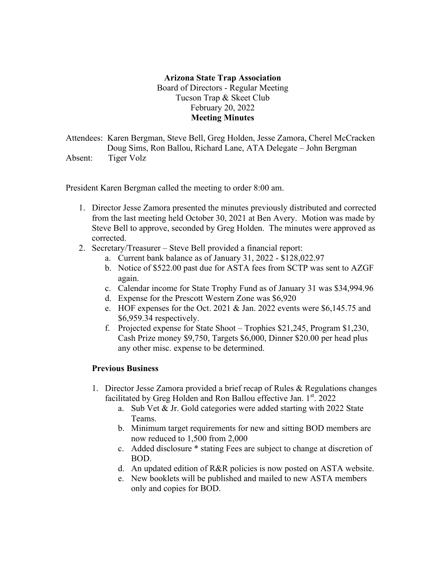## **Arizona State Trap Association** Board of Directors - Regular Meeting Tucson Trap & Skeet Club February 20, 2022 **Meeting Minutes**

Attendees: Karen Bergman, Steve Bell, Greg Holden, Jesse Zamora, Cherel McCracken Doug Sims, Ron Ballou, Richard Lane, ATA Delegate – John Bergman Absent: Tiger Volz

President Karen Bergman called the meeting to order 8:00 am.

- 1. Director Jesse Zamora presented the minutes previously distributed and corrected from the last meeting held October 30, 2021 at Ben Avery. Motion was made by Steve Bell to approve, seconded by Greg Holden. The minutes were approved as corrected.
- 2. Secretary/Treasurer Steve Bell provided a financial report:
	- a. Current bank balance as of January 31, 2022 \$128,022.97
	- b. Notice of \$522.00 past due for ASTA fees from SCTP was sent to AZGF again.
	- c. Calendar income for State Trophy Fund as of January 31 was \$34,994.96
	- d. Expense for the Prescott Western Zone was \$6,920
	- e. HOF expenses for the Oct. 2021 & Jan. 2022 events were \$6,145.75 and \$6,959.34 respectively.
	- f. Projected expense for State Shoot Trophies \$21,245, Program \$1,230, Cash Prize money \$9,750, Targets \$6,000, Dinner \$20.00 per head plus any other misc. expense to be determined.

## **Previous Business**

- 1. Director Jesse Zamora provided a brief recap of Rules & Regulations changes facilitated by Greg Holden and Ron Ballou effective Jan.  $1<sup>st</sup>$ . 2022
	- a. Sub Vet & Jr. Gold categories were added starting with 2022 State Teams.
	- b. Minimum target requirements for new and sitting BOD members are now reduced to 1,500 from 2,000
	- c. Added disclosure \* stating Fees are subject to change at discretion of BOD.
	- d. An updated edition of R&R policies is now posted on ASTA website.
	- e. New booklets will be published and mailed to new ASTA members only and copies for BOD.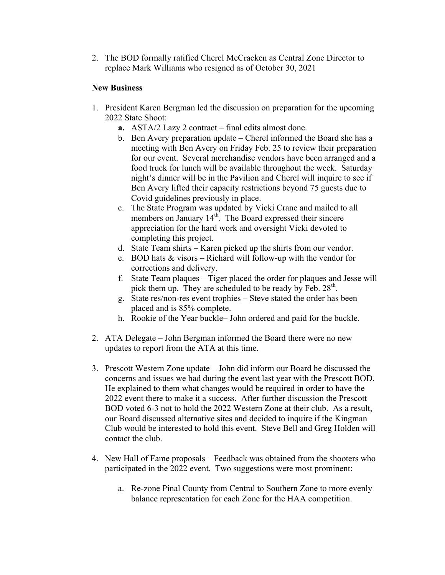2. The BOD formally ratified Cherel McCracken as Central Zone Director to replace Mark Williams who resigned as of October 30, 2021

## **New Business**

- 1. President Karen Bergman led the discussion on preparation for the upcoming 2022 State Shoot:
	- **a.** ASTA/2 Lazy 2 contract final edits almost done.
	- b. Ben Avery preparation update Cherel informed the Board she has a meeting with Ben Avery on Friday Feb. 25 to review their preparation for our event. Several merchandise vendors have been arranged and a food truck for lunch will be available throughout the week. Saturday night's dinner will be in the Pavilion and Cherel will inquire to see if Ben Avery lifted their capacity restrictions beyond 75 guests due to Covid guidelines previously in place.
	- c. The State Program was updated by Vicki Crane and mailed to all members on January 14<sup>th</sup>. The Board expressed their sincere appreciation for the hard work and oversight Vicki devoted to completing this project.
	- d. State Team shirts Karen picked up the shirts from our vendor.
	- e. BOD hats & visors Richard will follow-up with the vendor for corrections and delivery.
	- f. State Team plaques Tiger placed the order for plaques and Jesse will pick them up. They are scheduled to be ready by Feb.  $28<sup>th</sup>$ .
	- g. State res/non-res event trophies Steve stated the order has been placed and is 85% complete.
	- h. Rookie of the Year buckle– John ordered and paid for the buckle.
- 2. ATA Delegate John Bergman informed the Board there were no new updates to report from the ATA at this time.
- 3. Prescott Western Zone update John did inform our Board he discussed the concerns and issues we had during the event last year with the Prescott BOD. He explained to them what changes would be required in order to have the 2022 event there to make it a success. After further discussion the Prescott BOD voted 6-3 not to hold the 2022 Western Zone at their club. As a result, our Board discussed alternative sites and decided to inquire if the Kingman Club would be interested to hold this event. Steve Bell and Greg Holden will contact the club.
- 4. New Hall of Fame proposals Feedback was obtained from the shooters who participated in the 2022 event. Two suggestions were most prominent:
	- a. Re-zone Pinal County from Central to Southern Zone to more evenly balance representation for each Zone for the HAA competition.